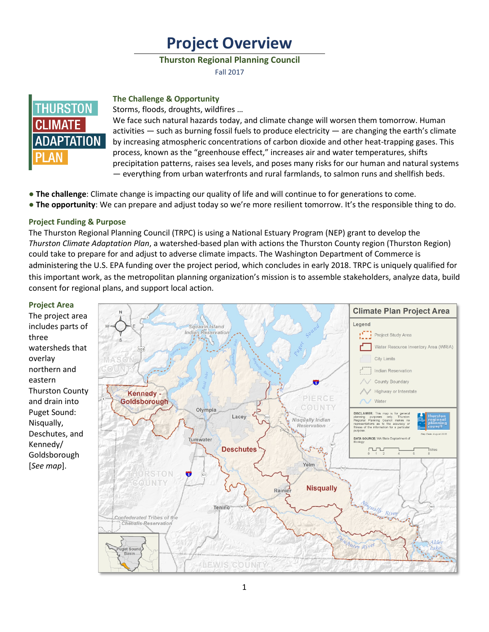# **Project Overview**

## **Thurston Regional Planning Council**

Fall 2017



#### **The Challenge & Opportunity**

Storms, floods, droughts, wildfires …

We face such natural hazards today, and climate change will worsen them tomorrow. Human activities  $-$  such as burning fossil fuels to produce electricity  $-$  are changing the earth's climate by increasing atmospheric concentrations of carbon dioxide and other heat-trapping gases. This process, known as the "greenhouse effect," increases air and water temperatures, shifts precipitation patterns, raises sea levels, and poses many risks for our human and natural systems — everything from urban waterfronts and rural farmlands, to salmon runs and shellfish beds.

- **● The challenge**: Climate change is impacting our quality of life and will continue to for generations to come.
- **● The opportunity**: We can prepare and adjust today so we're more resilient tomorrow. It's the responsible thing to do.

# **Project Funding & Purpose**

The Thurston Regional Planning Council (TRPC) is using a National Estuary Program (NEP) grant to develop the *Thurston Climate Adaptation Plan*, a watershed-based plan with actions the Thurston County region (Thurston Region) could take to prepare for and adjust to adverse climate impacts. The Washington Department of Commerce is administering the U.S. EPA funding over the project period, which concludes in early 2018. TRPC is uniquely qualified for this important work, as the metropolitan planning organization's mission is to assemble stakeholders, analyze data, build consent for regional plans, and support local action.

#### **Project Area**

The project area includes parts of three watersheds that overlay northern and eastern Thurston County and drain into Puget Sound: Nisqually, Deschutes, and Kennedy/ Goldsborough [*See map*].